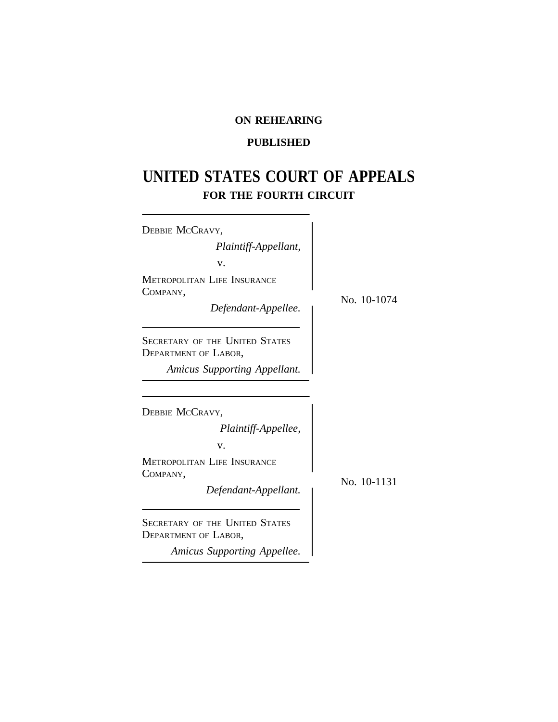# **ON REHEARING**

# **PUBLISHED**

# **UNITED STATES COURT OF APPEALS FOR THE FOURTH CIRCUIT**

| DEBBIE MCCRAVY,                                        |    |  |
|--------------------------------------------------------|----|--|
| Plaintiff-Appellant,                                   |    |  |
| V.                                                     |    |  |
| METROPOLITAN LIFE INSURANCE<br>COMPANY,                |    |  |
| Defendant-Appellee.                                    | No |  |
| Secretary of the United States<br>DEPARTMENT OF LABOR, |    |  |
| <b>Amicus Supporting Appellant.</b>                    |    |  |
|                                                        |    |  |
| DEBBIE MCCRAVY,                                        |    |  |
| Plaintiff-Appellee,                                    |    |  |
| v.                                                     |    |  |
| <b>METROPOLITAN LIFE INSURANCE</b><br>COMPANY,         |    |  |
| Defendant-Appellant.                                   | No |  |
| SECRETARY OF THE UNITED STATES<br>DEPARTMENT OF LABOR, |    |  |
| Amicus Supporting Appellee.                            |    |  |
|                                                        |    |  |

o. 10-1074

o. 10-1131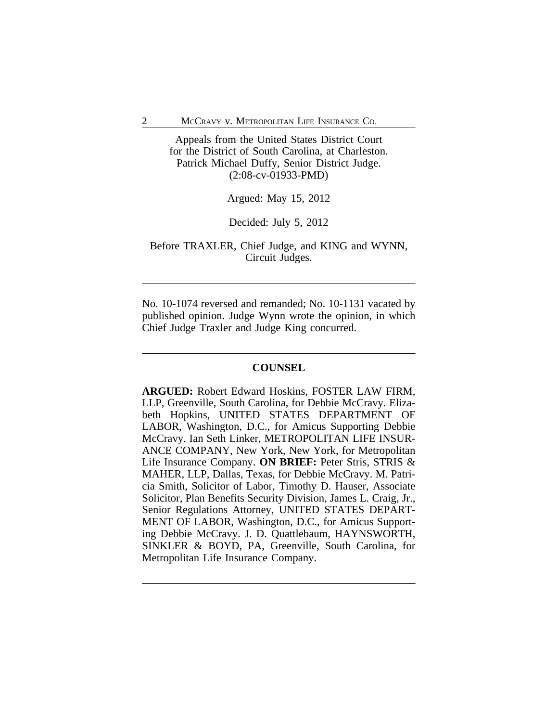Appeals from the United States District Court for the District of South Carolina, at Charleston. Patrick Michael Duffy, Senior District Judge. (2:08-cv-01933-PMD)

Argued: May 15, 2012

Decided: July 5, 2012

Before TRAXLER, Chief Judge, and KING and WYNN, Circuit Judges.

No. 10-1074 reversed and remanded; No. 10-1131 vacated by published opinion. Judge Wynn wrote the opinion, in which Chief Judge Traxler and Judge King concurred.

# **COUNSEL**

**ARGUED:** Robert Edward Hoskins, FOSTER LAW FIRM, LLP, Greenville, South Carolina, for Debbie McCravy. Elizabeth Hopkins, UNITED STATES DEPARTMENT OF LABOR, Washington, D.C., for Amicus Supporting Debbie McCravy. Ian Seth Linker, METROPOLITAN LIFE INSUR-ANCE COMPANY, New York, New York, for Metropolitan Life Insurance Company. **ON BRIEF:** Peter Stris, STRIS & MAHER, LLP, Dallas, Texas, for Debbie McCravy. M. Patricia Smith, Solicitor of Labor, Timothy D. Hauser, Associate Solicitor, Plan Benefits Security Division, James L. Craig, Jr., Senior Regulations Attorney, UNITED STATES DEPART-MENT OF LABOR, Washington, D.C., for Amicus Supporting Debbie McCravy. J. D. Quattlebaum, HAYNSWORTH, SINKLER & BOYD, PA, Greenville, South Carolina, for Metropolitan Life Insurance Company.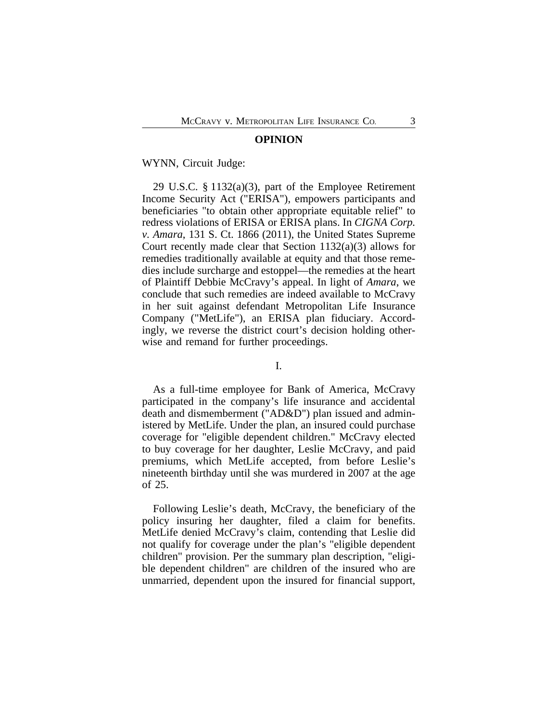#### **OPINION**

WYNN, Circuit Judge:

29 U.S.C. § 1132(a)(3), part of the Employee Retirement Income Security Act ("ERISA"), empowers participants and beneficiaries "to obtain other appropriate equitable relief" to redress violations of ERISA or ERISA plans. In *CIGNA Corp. v. Amara*, 131 S. Ct. 1866 (2011), the United States Supreme Court recently made clear that Section 1132(a)(3) allows for remedies traditionally available at equity and that those remedies include surcharge and estoppel—the remedies at the heart of Plaintiff Debbie McCravy's appeal. In light of *Amara*, we conclude that such remedies are indeed available to McCravy in her suit against defendant Metropolitan Life Insurance Company ("MetLife"), an ERISA plan fiduciary. Accordingly, we reverse the district court's decision holding otherwise and remand for further proceedings.

I.

As a full-time employee for Bank of America, McCravy participated in the company's life insurance and accidental death and dismemberment ("AD&D") plan issued and administered by MetLife. Under the plan, an insured could purchase coverage for "eligible dependent children." McCravy elected to buy coverage for her daughter, Leslie McCravy, and paid premiums, which MetLife accepted, from before Leslie's nineteenth birthday until she was murdered in 2007 at the age of 25.

Following Leslie's death, McCravy, the beneficiary of the policy insuring her daughter, filed a claim for benefits. MetLife denied McCravy's claim, contending that Leslie did not qualify for coverage under the plan's "eligible dependent children" provision. Per the summary plan description, "eligible dependent children" are children of the insured who are unmarried, dependent upon the insured for financial support,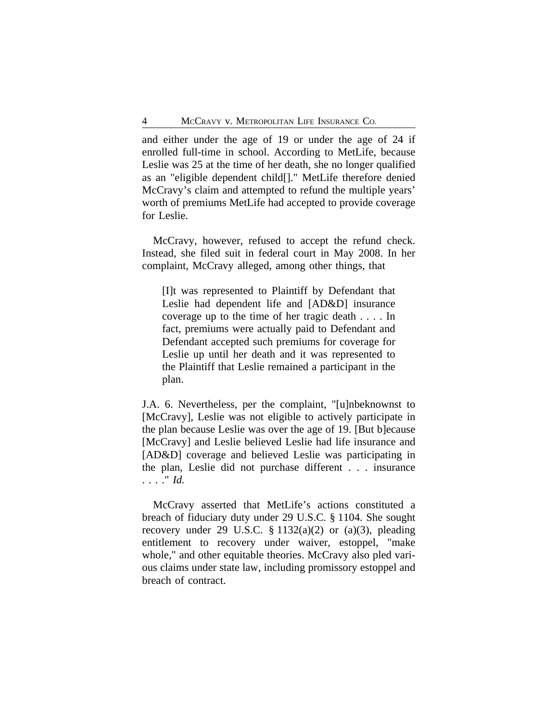and either under the age of 19 or under the age of 24 if enrolled full-time in school. According to MetLife, because Leslie was 25 at the time of her death, she no longer qualified as an "eligible dependent child[]." MetLife therefore denied McCravy's claim and attempted to refund the multiple years' worth of premiums MetLife had accepted to provide coverage for Leslie.

McCravy, however, refused to accept the refund check. Instead, she filed suit in federal court in May 2008. In her complaint, McCravy alleged, among other things, that

[I]t was represented to Plaintiff by Defendant that Leslie had dependent life and [AD&D] insurance coverage up to the time of her tragic death . . . . In fact, premiums were actually paid to Defendant and Defendant accepted such premiums for coverage for Leslie up until her death and it was represented to the Plaintiff that Leslie remained a participant in the plan.

J.A. 6. Nevertheless, per the complaint, "[u]nbeknownst to [McCravy], Leslie was not eligible to actively participate in the plan because Leslie was over the age of 19. [But b]ecause [McCravy] and Leslie believed Leslie had life insurance and [AD&D] coverage and believed Leslie was participating in the plan, Leslie did not purchase different . . . insurance . . . ." *Id.*

McCravy asserted that MetLife's actions constituted a breach of fiduciary duty under 29 U.S.C. § 1104. She sought recovery under 29 U.S.C.  $\S 1132(a)(2)$  or (a)(3), pleading entitlement to recovery under waiver, estoppel, "make whole," and other equitable theories. McCravy also pled various claims under state law, including promissory estoppel and breach of contract.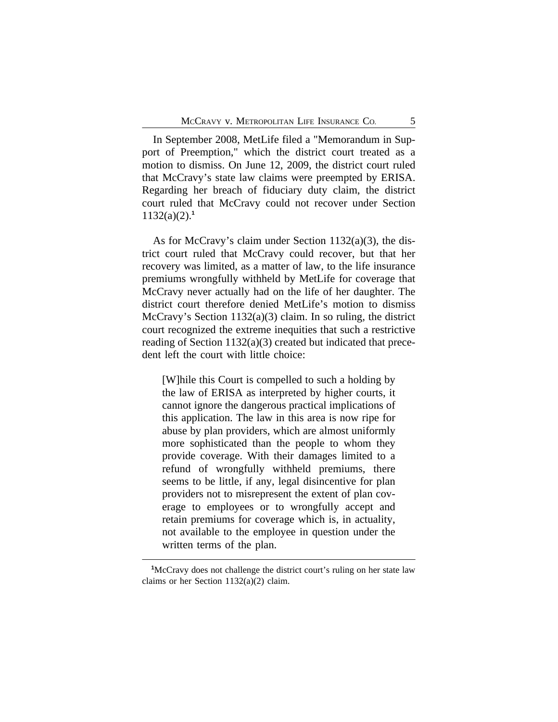In September 2008, MetLife filed a "Memorandum in Support of Preemption," which the district court treated as a motion to dismiss. On June 12, 2009, the district court ruled that McCravy's state law claims were preempted by ERISA. Regarding her breach of fiduciary duty claim, the district court ruled that McCravy could not recover under Section 1132(a)(2).**<sup>1</sup>**

As for McCravy's claim under Section 1132(a)(3), the district court ruled that McCravy could recover, but that her recovery was limited, as a matter of law, to the life insurance premiums wrongfully withheld by MetLife for coverage that McCravy never actually had on the life of her daughter. The district court therefore denied MetLife's motion to dismiss McCravy's Section 1132(a)(3) claim. In so ruling, the district court recognized the extreme inequities that such a restrictive reading of Section 1132(a)(3) created but indicated that precedent left the court with little choice:

[W]hile this Court is compelled to such a holding by the law of ERISA as interpreted by higher courts, it cannot ignore the dangerous practical implications of this application. The law in this area is now ripe for abuse by plan providers, which are almost uniformly more sophisticated than the people to whom they provide coverage. With their damages limited to a refund of wrongfully withheld premiums, there seems to be little, if any, legal disincentive for plan providers not to misrepresent the extent of plan coverage to employees or to wrongfully accept and retain premiums for coverage which is, in actuality, not available to the employee in question under the written terms of the plan.

<sup>&</sup>lt;sup>1</sup>McCravy does not challenge the district court's ruling on her state law claims or her Section 1132(a)(2) claim.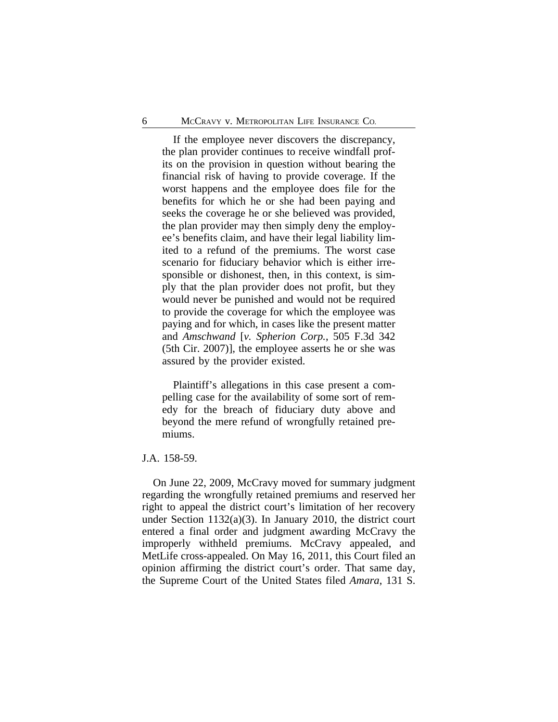If the employee never discovers the discrepancy, the plan provider continues to receive windfall profits on the provision in question without bearing the financial risk of having to provide coverage. If the worst happens and the employee does file for the benefits for which he or she had been paying and seeks the coverage he or she believed was provided, the plan provider may then simply deny the employee's benefits claim, and have their legal liability limited to a refund of the premiums. The worst case scenario for fiduciary behavior which is either irresponsible or dishonest, then, in this context, is simply that the plan provider does not profit, but they would never be punished and would not be required to provide the coverage for which the employee was paying and for which, in cases like the present matter and *Amschwand* [*v. Spherion Corp.*, 505 F.3d 342 (5th Cir. 2007)], the employee asserts he or she was assured by the provider existed.

Plaintiff's allegations in this case present a compelling case for the availability of some sort of remedy for the breach of fiduciary duty above and beyond the mere refund of wrongfully retained premiums.

J.A. 158-59.

On June 22, 2009, McCravy moved for summary judgment regarding the wrongfully retained premiums and reserved her right to appeal the district court's limitation of her recovery under Section 1132(a)(3). In January 2010, the district court entered a final order and judgment awarding McCravy the improperly withheld premiums. McCravy appealed, and MetLife cross-appealed. On May 16, 2011, this Court filed an opinion affirming the district court's order. That same day, the Supreme Court of the United States filed *Amara*, 131 S.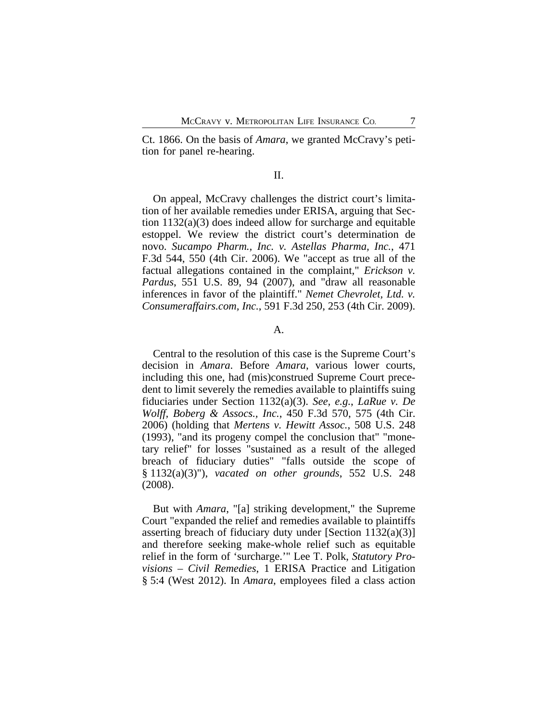Ct. 1866. On the basis of *Amara*, we granted McCravy's petition for panel re-hearing.

## II.

On appeal, McCravy challenges the district court's limitation of her available remedies under ERISA, arguing that Section 1132(a)(3) does indeed allow for surcharge and equitable estoppel. We review the district court's determination de novo. *Sucampo Pharm., Inc. v. Astellas Pharma, Inc.*, 471 F.3d 544, 550 (4th Cir. 2006). We "accept as true all of the factual allegations contained in the complaint," *Erickson v. Pardus*, 551 U.S. 89, 94 (2007), and "draw all reasonable inferences in favor of the plaintiff." *Nemet Chevrolet, Ltd. v. Consumeraffairs.com, Inc.*, 591 F.3d 250, 253 (4th Cir. 2009).

## A.

Central to the resolution of this case is the Supreme Court's decision in *Amara*. Before *Amara*, various lower courts, including this one, had (mis)construed Supreme Court precedent to limit severely the remedies available to plaintiffs suing fiduciaries under Section 1132(a)(3). *See, e.g.*, *LaRue v. De Wolff, Boberg & Assocs., Inc.*, 450 F.3d 570, 575 (4th Cir. 2006) (holding that *Mertens v. Hewitt Assoc.*, 508 U.S. 248 (1993), "and its progeny compel the conclusion that" "monetary relief" for losses "sustained as a result of the alleged breach of fiduciary duties" "falls outside the scope of § 1132(a)(3)"), *vacated on other grounds*, 552 U.S. 248 (2008).

But with *Amara*, "[a] striking development," the Supreme Court "expanded the relief and remedies available to plaintiffs asserting breach of fiduciary duty under [Section  $1132(a)(3)$ ] and therefore seeking make-whole relief such as equitable relief in the form of 'surcharge.'" Lee T. Polk, *Statutory Provisions – Civil Remedies*, 1 ERISA Practice and Litigation § 5:4 (West 2012). In *Amara*, employees filed a class action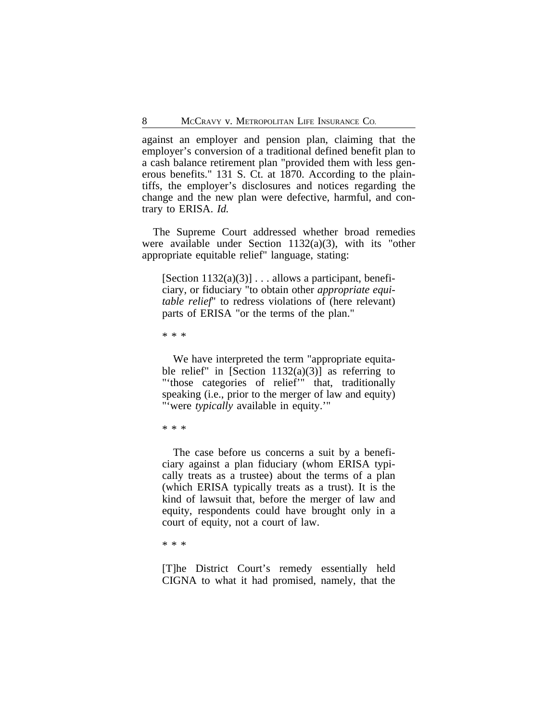against an employer and pension plan, claiming that the employer's conversion of a traditional defined benefit plan to a cash balance retirement plan "provided them with less generous benefits." 131 S. Ct. at 1870. According to the plaintiffs, the employer's disclosures and notices regarding the change and the new plan were defective, harmful, and contrary to ERISA. *Id.*

The Supreme Court addressed whether broad remedies were available under Section 1132(a)(3), with its "other appropriate equitable relief" language, stating:

[Section  $1132(a)(3)$ ] ... allows a participant, beneficiary, or fiduciary "to obtain other *appropriate equitable relief*" to redress violations of (here relevant) parts of ERISA "or the terms of the plan."

\* \* \*

We have interpreted the term "appropriate equitable relief" in [Section  $1132(a)(3)$ ] as referring to "'those categories of relief'" that, traditionally speaking (i.e., prior to the merger of law and equity) "'were *typically* available in equity.'"

\* \* \*

The case before us concerns a suit by a beneficiary against a plan fiduciary (whom ERISA typically treats as a trustee) about the terms of a plan (which ERISA typically treats as a trust). It is the kind of lawsuit that, before the merger of law and equity, respondents could have brought only in a court of equity, not a court of law.

\* \* \*

[T]he District Court's remedy essentially held CIGNA to what it had promised, namely, that the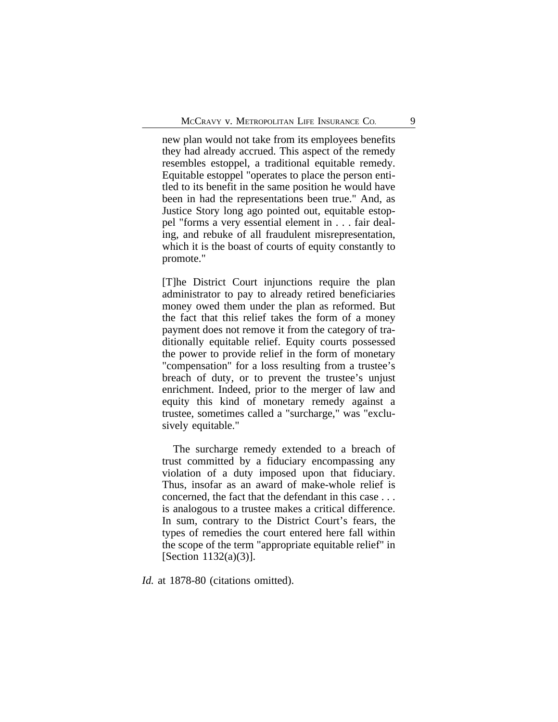new plan would not take from its employees benefits they had already accrued. This aspect of the remedy resembles estoppel, a traditional equitable remedy. Equitable estoppel "operates to place the person entitled to its benefit in the same position he would have been in had the representations been true." And, as Justice Story long ago pointed out, equitable estoppel "forms a very essential element in . . . fair dealing, and rebuke of all fraudulent misrepresentation, which it is the boast of courts of equity constantly to promote."

[T]he District Court injunctions require the plan administrator to pay to already retired beneficiaries money owed them under the plan as reformed. But the fact that this relief takes the form of a money payment does not remove it from the category of traditionally equitable relief. Equity courts possessed the power to provide relief in the form of monetary "compensation" for a loss resulting from a trustee's breach of duty, or to prevent the trustee's unjust enrichment. Indeed, prior to the merger of law and equity this kind of monetary remedy against a trustee, sometimes called a "surcharge," was "exclusively equitable."

The surcharge remedy extended to a breach of trust committed by a fiduciary encompassing any violation of a duty imposed upon that fiduciary. Thus, insofar as an award of make-whole relief is concerned, the fact that the defendant in this case . . . is analogous to a trustee makes a critical difference. In sum, contrary to the District Court's fears, the types of remedies the court entered here fall within the scope of the term "appropriate equitable relief" in [Section 1132(a)(3)].

Id. at 1878-80 (citations omitted).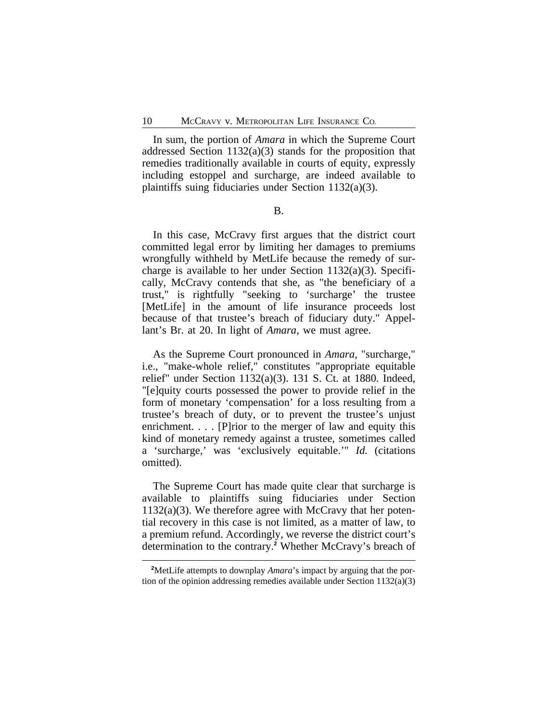In sum, the portion of *Amara* in which the Supreme Court addressed Section 1132(a)(3) stands for the proposition that remedies traditionally available in courts of equity, expressly including estoppel and surcharge, are indeed available to plaintiffs suing fiduciaries under Section 1132(a)(3).

B.

In this case, McCravy first argues that the district court committed legal error by limiting her damages to premiums wrongfully withheld by MetLife because the remedy of surcharge is available to her under Section 1132(a)(3). Specifically, McCravy contends that she, as "the beneficiary of a trust," is rightfully "seeking to 'surcharge' the trustee [MetLife] in the amount of life insurance proceeds lost because of that trustee's breach of fiduciary duty." Appellant's Br. at 20. In light of *Amara*, we must agree.

As the Supreme Court pronounced in *Amara*, "surcharge," i.e., "make-whole relief," constitutes "appropriate equitable relief" under Section 1132(a)(3). 131 S. Ct. at 1880. Indeed, "[e]quity courts possessed the power to provide relief in the form of monetary 'compensation' for a loss resulting from a trustee's breach of duty, or to prevent the trustee's unjust enrichment. . . . [P] rior to the merger of law and equity this kind of monetary remedy against a trustee, sometimes called a 'surcharge,' was 'exclusively equitable.'" *Id.* (citations omitted).

The Supreme Court has made quite clear that surcharge is available to plaintiffs suing fiduciaries under Section  $1132(a)(3)$ . We therefore agree with McCravy that her potential recovery in this case is not limited, as a matter of law, to a premium refund. Accordingly, we reverse the district court's determination to the contrary.**<sup>2</sup>** Whether McCravy's breach of

**<sup>2</sup>**MetLife attempts to downplay *Amara*'s impact by arguing that the portion of the opinion addressing remedies available under Section 1132(a)(3)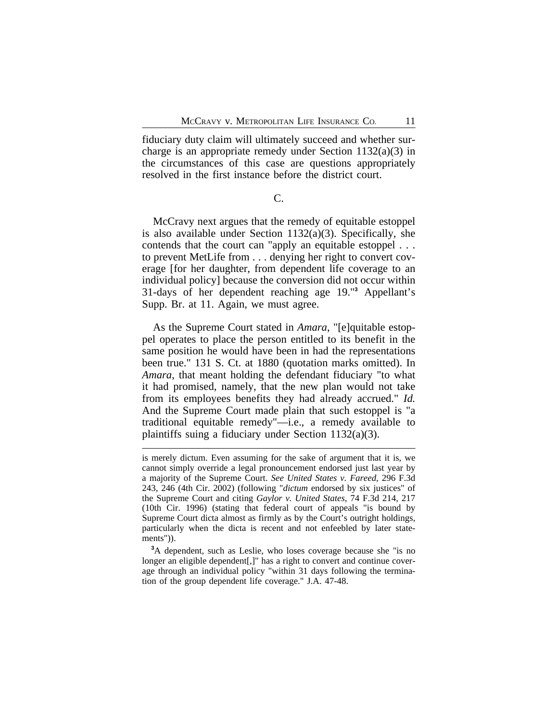fiduciary duty claim will ultimately succeed and whether surcharge is an appropriate remedy under Section 1132(a)(3) in the circumstances of this case are questions appropriately resolved in the first instance before the district court.

C.

McCravy next argues that the remedy of equitable estoppel is also available under Section 1132(a)(3). Specifically, she contends that the court can "apply an equitable estoppel . . . to prevent MetLife from . . . denying her right to convert coverage [for her daughter, from dependent life coverage to an individual policy] because the conversion did not occur within 31-days of her dependent reaching age 19."**<sup>3</sup>** Appellant's Supp. Br. at 11. Again, we must agree.

As the Supreme Court stated in *Amara*, "[e]quitable estoppel operates to place the person entitled to its benefit in the same position he would have been in had the representations been true." 131 S. Ct. at 1880 (quotation marks omitted). In *Amara*, that meant holding the defendant fiduciary "to what it had promised, namely, that the new plan would not take from its employees benefits they had already accrued." *Id.* And the Supreme Court made plain that such estoppel is "a traditional equitable remedy"—i.e., a remedy available to plaintiffs suing a fiduciary under Section  $1132(a)(3)$ .

**<sup>3</sup>**A dependent, such as Leslie, who loses coverage because she "is no longer an eligible dependent[,]" has a right to convert and continue coverage through an individual policy "within 31 days following the termination of the group dependent life coverage." J.A. 47-48.

is merely dictum. Even assuming for the sake of argument that it is, we cannot simply override a legal pronouncement endorsed just last year by a majority of the Supreme Court. *See United States v. Fareed*, 296 F.3d 243, 246 (4th Cir. 2002) (following "*dictum* endorsed by six justices" of the Supreme Court and citing *Gaylor v. United States*, 74 F.3d 214, 217 (10th Cir. 1996) (stating that federal court of appeals "is bound by Supreme Court dicta almost as firmly as by the Court's outright holdings, particularly when the dicta is recent and not enfeebled by later statements")).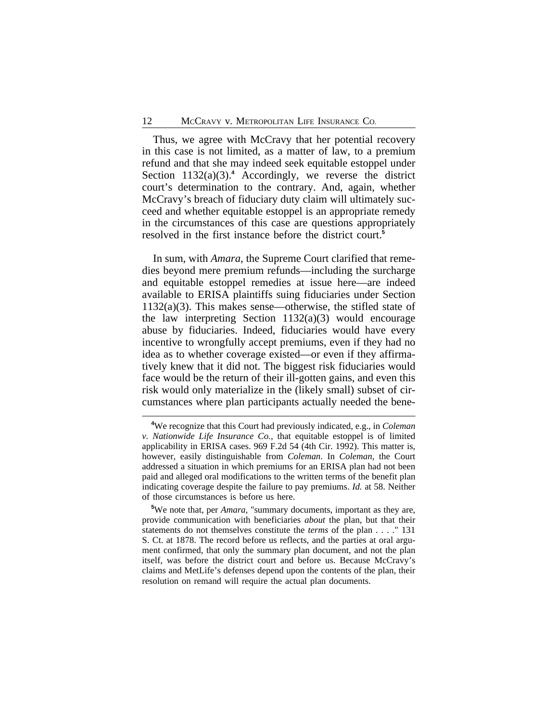Thus, we agree with McCravy that her potential recovery in this case is not limited, as a matter of law, to a premium refund and that she may indeed seek equitable estoppel under Section 1132(a)(3).<sup>4</sup> Accordingly, we reverse the district court's determination to the contrary. And, again, whether McCravy's breach of fiduciary duty claim will ultimately succeed and whether equitable estoppel is an appropriate remedy in the circumstances of this case are questions appropriately resolved in the first instance before the district court.**<sup>5</sup>**

In sum, with *Amara*, the Supreme Court clarified that remedies beyond mere premium refunds—including the surcharge and equitable estoppel remedies at issue here—are indeed available to ERISA plaintiffs suing fiduciaries under Section 1132(a)(3). This makes sense—otherwise, the stifled state of the law interpreting Section  $1132(a)(3)$  would encourage abuse by fiduciaries. Indeed, fiduciaries would have every incentive to wrongfully accept premiums, even if they had no idea as to whether coverage existed—or even if they affirmatively knew that it did not. The biggest risk fiduciaries would face would be the return of their ill-gotten gains, and even this risk would only materialize in the (likely small) subset of circumstances where plan participants actually needed the bene-

**<sup>4</sup>**We recognize that this Court had previously indicated, e.g., in *Coleman v. Nationwide Life Insurance Co.*, that equitable estoppel is of limited applicability in ERISA cases. 969 F.2d 54 (4th Cir. 1992). This matter is, however, easily distinguishable from *Coleman*. In *Coleman*, the Court addressed a situation in which premiums for an ERISA plan had not been paid and alleged oral modifications to the written terms of the benefit plan indicating coverage despite the failure to pay premiums. *Id.* at 58. Neither of those circumstances is before us here.

**<sup>5</sup>**We note that, per *Amara*, "summary documents, important as they are, provide communication with beneficiaries *about* the plan, but that their statements do not themselves constitute the *terms* of the plan . . . ." 131 S. Ct. at 1878. The record before us reflects, and the parties at oral argument confirmed, that only the summary plan document, and not the plan itself, was before the district court and before us. Because McCravy's claims and MetLife's defenses depend upon the contents of the plan, their resolution on remand will require the actual plan documents.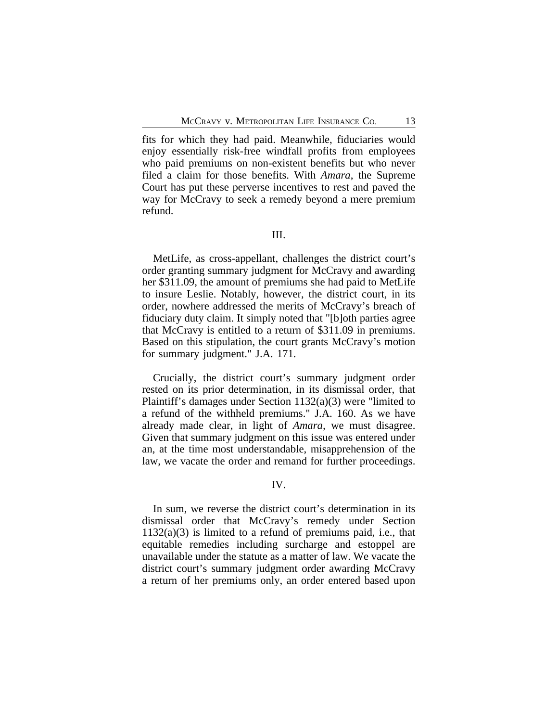fits for which they had paid. Meanwhile, fiduciaries would enjoy essentially risk-free windfall profits from employees who paid premiums on non-existent benefits but who never filed a claim for those benefits. With *Amara*, the Supreme Court has put these perverse incentives to rest and paved the way for McCravy to seek a remedy beyond a mere premium refund.

# III.

MetLife, as cross-appellant, challenges the district court's order granting summary judgment for McCravy and awarding her \$311.09, the amount of premiums she had paid to MetLife to insure Leslie. Notably, however, the district court, in its order, nowhere addressed the merits of McCravy's breach of fiduciary duty claim. It simply noted that "[b]oth parties agree that McCravy is entitled to a return of \$311.09 in premiums. Based on this stipulation, the court grants McCravy's motion for summary judgment." J.A. 171.

Crucially, the district court's summary judgment order rested on its prior determination, in its dismissal order, that Plaintiff's damages under Section 1132(a)(3) were "limited to a refund of the withheld premiums." J.A. 160. As we have already made clear, in light of *Amara,* we must disagree. Given that summary judgment on this issue was entered under an, at the time most understandable, misapprehension of the law, we vacate the order and remand for further proceedings.

#### IV.

In sum, we reverse the district court's determination in its dismissal order that McCravy's remedy under Section  $1132(a)(3)$  is limited to a refund of premiums paid, i.e., that equitable remedies including surcharge and estoppel are unavailable under the statute as a matter of law. We vacate the district court's summary judgment order awarding McCravy a return of her premiums only, an order entered based upon